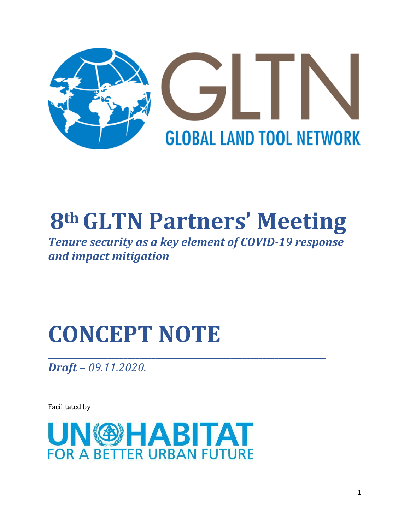

# **8thGLTN Partners' Meeting**

*Tenure security as a key element of COVID-19 response and impact mitigation*

# **CONCEPT NOTE**

**\_\_\_\_\_\_\_\_\_\_\_\_\_\_\_\_\_\_\_\_\_\_\_\_\_\_\_\_\_\_\_\_\_\_\_\_\_\_\_\_\_\_\_\_\_\_\_\_\_\_\_\_\_\_\_\_\_\_\_\_\_\_\_\_\_\_\_\_\_\_** *Draft – 09.11.2020.*

Facilitated by

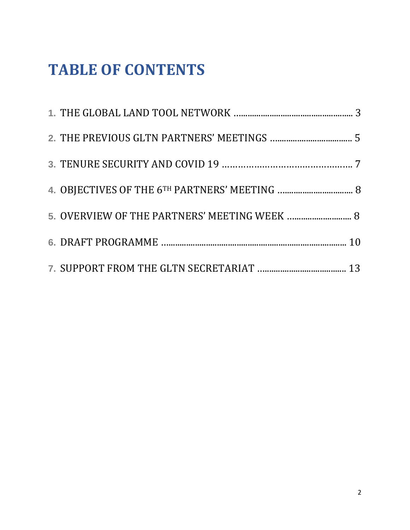# **TABLE OF CONTENTS**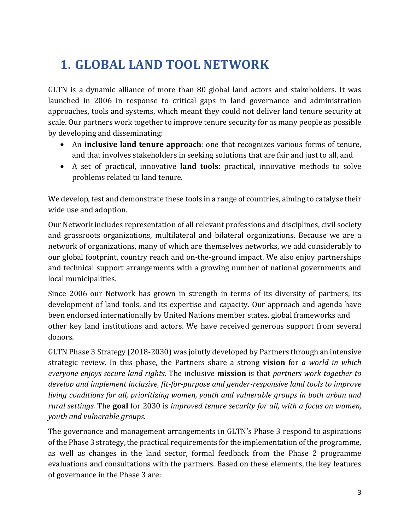# **1. GLOBAL LAND TOOL NETWORK**

GLTN is a dynamic alliance of more than 80 global land actors and stakeholders. It was launched in 2006 in response to critical gaps in land governance and administration approaches, tools and systems, which meant they could not deliver land tenure security at scale. Our partners work together to improve tenure security for as many people as possible by developing and disseminating:

- An **inclusive land tenure approach**: one that recognizes various forms of tenure, and that involves stakeholders in seeking solutions that are fair and just to all, and
- A set of practical, innovative **land tools**: practical, innovative methods to solve problems related to land tenure.

We develop, test and demonstrate these tools in a range of countries, aiming to catalyse their wide use and adoption.

Our Network includes representation of all relevant professions and disciplines, civil society and grassroots organizations, multilateral and bilateral organizations. Because we are a network of organizations, many of which are themselves networks, we add considerably to our global footprint, country reach and on-the-ground impact. We also enjoy partnerships and technical support arrangements with a growing number of national governments and local municipalities.

Since 2006 our Network has grown in strength in terms of its diversity of partners, its development of land tools, and its expertise and capacity. Our approach and agenda have been endorsed internationally by United Nations member states, global frameworks and other key land institutions and actors. We have received generous support from several donors.

GLTN Phase 3 Strategy (2018-2030) was jointly developed by Partners through an intensive strategic review. In this phase, the Partners share a strong **vision** for *a world in which everyone enjoys secure land rights*. The inclusive **mission** is that *partners work together to develop and implement inclusive, fit-for-purpose and gender-responsive land tools to improve living conditions for all, prioritizing women, youth and vulnerable groups in both urban and rural settings.* The **goal** for 2030 is *improved tenure security for all, with a focus on women, youth and vulnerable groups.*

The governance and management arrangements in GLTN's Phase 3 respond to aspirations of the Phase 3 strategy, the practical requirements for the implementation of the programme, as well as changes in the land sector, formal feedback from the Phase 2 programme evaluations and consultations with the partners. Based on these elements, the key features of governance in the Phase 3 are: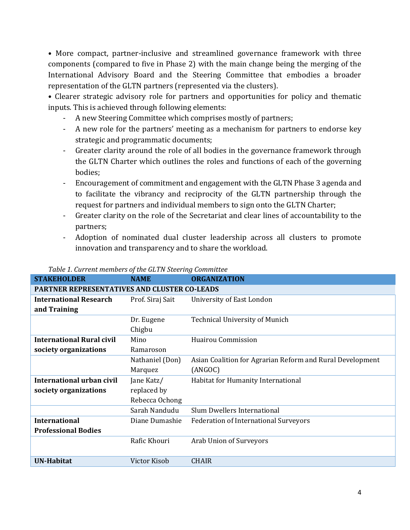• More compact, partner-inclusive and streamlined governance framework with three components (compared to five in Phase 2) with the main change being the merging of the International Advisory Board and the Steering Committee that embodies a broader representation of the GLTN partners (represented via the clusters).

• Clearer strategic advisory role for partners and opportunities for policy and thematic inputs. This is achieved through following elements:

- A new Steering Committee which comprises mostly of partners;
- A new role for the partners' meeting as a mechanism for partners to endorse key strategic and programmatic documents;
- Greater clarity around the role of all bodies in the governance framework through the GLTN Charter which outlines the roles and functions of each of the governing bodies;
- Encouragement of commitment and engagement with the GLTN Phase 3 agenda and to facilitate the vibrancy and reciprocity of the GLTN partnership through the request for partners and individual members to sign onto the GLTN Charter;
- Greater clarity on the role of the Secretariat and clear lines of accountability to the partners;
- Adoption of nominated dual cluster leadership across all clusters to promote innovation and transparency and to share the workload.

| <b>STAKEHOLDER</b>                                  | <b>NAME</b>      | <b>ORGANIZATION</b>                                       |  |  |  |  |  |  |
|-----------------------------------------------------|------------------|-----------------------------------------------------------|--|--|--|--|--|--|
| <b>PARTNER REPRESENTATIVES AND CLUSTER CO-LEADS</b> |                  |                                                           |  |  |  |  |  |  |
| <b>International Research</b>                       | Prof. Siraj Sait | University of East London                                 |  |  |  |  |  |  |
| and Training                                        |                  |                                                           |  |  |  |  |  |  |
|                                                     | Dr. Eugene       | <b>Technical University of Munich</b>                     |  |  |  |  |  |  |
|                                                     | Chigbu           |                                                           |  |  |  |  |  |  |
| <b>International Rural civil</b>                    | Mino             | <b>Huairou Commission</b>                                 |  |  |  |  |  |  |
| society organizations                               | Ramaroson        |                                                           |  |  |  |  |  |  |
|                                                     | Nathaniel (Don)  | Asian Coalition for Agrarian Reform and Rural Development |  |  |  |  |  |  |
|                                                     | Marquez          | (ANGOC)                                                   |  |  |  |  |  |  |
| International urban civil                           | Jane Katz/       | Habitat for Humanity International                        |  |  |  |  |  |  |
| society organizations                               | replaced by      |                                                           |  |  |  |  |  |  |
|                                                     | Rebecca Ochong   |                                                           |  |  |  |  |  |  |
|                                                     | Sarah Nandudu    | Slum Dwellers International                               |  |  |  |  |  |  |
| <b>International</b>                                | Diane Dumashie   | <b>Federation of International Surveyors</b>              |  |  |  |  |  |  |
| <b>Professional Bodies</b>                          |                  |                                                           |  |  |  |  |  |  |
|                                                     | Rafic Khouri     | Arab Union of Surveyors                                   |  |  |  |  |  |  |
|                                                     |                  |                                                           |  |  |  |  |  |  |
| <b>UN-Habitat</b>                                   | Victor Kisob     | <b>CHAIR</b>                                              |  |  |  |  |  |  |

#### *Table 1. Current members of the GLTN Steering Committee*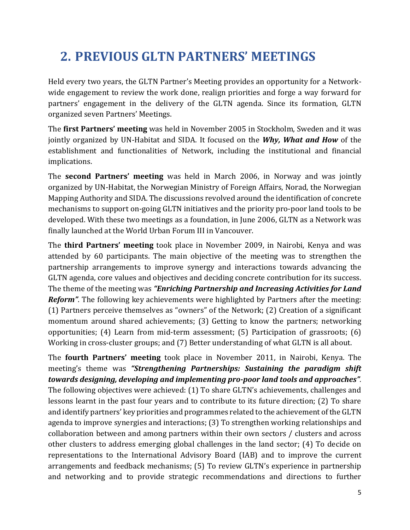## **2. PREVIOUS GLTN PARTNERS' MEETINGS**

Held every two years, the GLTN Partner's Meeting provides an opportunity for a Networkwide engagement to review the work done, realign priorities and forge a way forward for partners' engagement in the delivery of the GLTN agenda. Since its formation, GLTN organized seven Partners' Meetings.

The **first Partners' meeting** was held in November 2005 in Stockholm, Sweden and it was jointly organized by UN-Habitat and SIDA. It focused on the *Why, What and How* of the establishment and functionalities of Network, including the institutional and financial implications.

The **second Partners' meeting** was held in March 2006, in Norway and was jointly organized by UN-Habitat, the Norwegian Ministry of Foreign Affairs, Norad, the Norwegian Mapping Authority and SIDA. The discussions revolved around the identification of concrete mechanisms to support on-going GLTN initiatives and the priority pro-poor land tools to be developed. With these two meetings as a foundation, in June 2006, GLTN as a Network was finally launched at the World Urban Forum III in Vancouver.

The **third Partners' meeting** took place in November 2009, in Nairobi, Kenya and was attended by 60 participants. The main objective of the meeting was to strengthen the partnership arrangements to improve synergy and interactions towards advancing the GLTN agenda, core values and objectives and deciding concrete contribution for its success. The theme of the meeting was *"Enriching Partnership and Increasing Activities for Land Reform*". The following key achievements were highlighted by Partners after the meeting: (1) Partners perceive themselves as "owners" of the Network; (2) Creation of a significant momentum around shared achievements; (3) Getting to know the partners; networking opportunities; (4) Learn from mid-term assessment; (5) Participation of grassroots; (6) Working in cross-cluster groups; and (7) Better understanding of what GLTN is all about.

The **fourth Partners' meeting** took place in November 2011, in Nairobi, Kenya. The meeting's theme was *"Strengthening Partnerships: Sustaining the paradigm shift towards designing, developing and implementing pro-poor land tools and approaches".*  The following objectives were achieved: (1) To share GLTN's achievements, challenges and lessons learnt in the past four years and to contribute to its future direction; (2) To share and identify partners' key priorities and programmes related to the achievement of the GLTN agenda to improve synergies and interactions; (3) To strengthen working relationships and collaboration between and among partners within their own sectors / clusters and across other clusters to address emerging global challenges in the land sector; (4) To decide on representations to the International Advisory Board (IAB) and to improve the current arrangements and feedback mechanisms; (5) To review GLTN's experience in partnership and networking and to provide strategic recommendations and directions to further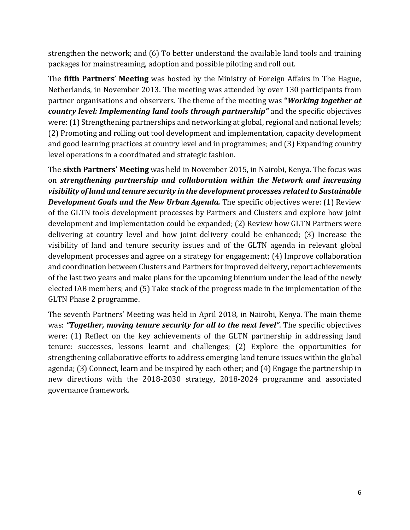strengthen the network; and (6) To better understand the available land tools and training packages for mainstreaming, adoption and possible piloting and roll out.

The **fifth Partners' Meeting** was hosted by the Ministry of Foreign Affairs in The Hague, Netherlands, in November 2013. The meeting was attended by over 130 participants from partner organisations and observers. The theme of the meeting was **"***Working together at country level: Implementing land tools through partnership"* and the specific objectives were: (1) Strengthening partnerships and networking at global, regional and national levels; (2) Promoting and rolling out tool development and implementation, capacity development and good learning practices at country level and in programmes; and (3) Expanding country level operations in a coordinated and strategic fashion.

The **sixth Partners' Meeting** was held in November 2015, in Nairobi, Kenya. The focus was on *strengthening partnership and collaboration within the Network and increasing visibility of land and tenure security in the development processes related to Sustainable Development Goals and the New Urban Agenda.* The specific objectives were: (1) Review of the GLTN tools development processes by Partners and Clusters and explore how joint development and implementation could be expanded; (2) Review how GLTN Partners were delivering at country level and how joint delivery could be enhanced; (3) Increase the visibility of land and tenure security issues and of the GLTN agenda in relevant global development processes and agree on a strategy for engagement; (4) Improve collaboration and coordination between Clusters and Partners for improved delivery, report achievements of the last two years and make plans for the upcoming biennium under the lead of the newly elected IAB members; and (5) Take stock of the progress made in the implementation of the GLTN Phase 2 programme.

The seventh Partners' Meeting was held in April 2018, in Nairobi, Kenya. The main theme was: *"Together, moving tenure security for all to the next level"*. The specific objectives were: (1) Reflect on the key achievements of the GLTN partnership in addressing land tenure: successes, lessons learnt and challenges; (2) Explore the opportunities for strengthening collaborative efforts to address emerging land tenure issues within the global agenda; (3) Connect, learn and be inspired by each other; and (4) Engage the partnership in new directions with the 2018-2030 strategy, 2018-2024 programme and associated governance framework.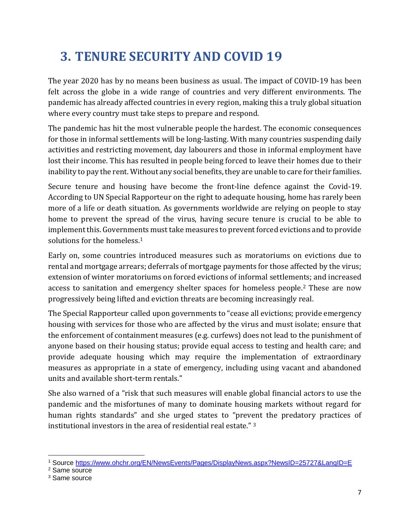# **3. TENURE SECURITY AND COVID 19**

The year 2020 has by no means been business as usual. The impact of COVID-19 has been felt across the globe in a wide range of countries and very different environments. The pandemic has already affected countries in every region, making this a truly global situation where every country must take steps to prepare and respond.

The pandemic has hit the most vulnerable people the hardest. The economic consequences for those in informal settlements will be long-lasting. With many countries suspending daily activities and restricting movement, day labourers and those in informal employment have lost their income. This has resulted in people being forced to leave their homes due to their inability to pay the rent. Without any social benefits, they are unable to care for their families.

Secure tenure and housing have become the front-line defence against the Covid-19. According to UN Special Rapporteur on the right to adequate housing, home has rarely been more of a life or death situation. As governments worldwide are relying on people to stay home to prevent the spread of the virus, having secure tenure is crucial to be able to implement this. Governments must take measures to prevent forced evictions and to provide solutions for the homeless.<sup>1</sup>

Early on, some countries introduced measures such as moratoriums on evictions due to rental and mortgage arrears; deferrals of mortgage payments for those affected by the virus; extension of winter moratoriums on forced evictions of informal settlements; and increased access to sanitation and emergency shelter spaces for homeless people.<sup>2</sup> These are now progressively being lifted and eviction threats are becoming increasingly real.

The Special Rapporteur called upon governments to "cease all evictions; provide emergency housing with services for those who are affected by the virus and must isolate; ensure that the enforcement of containment measures (e.g. curfews) does not lead to the punishment of anyone based on their housing status; provide equal access to testing and health care; and provide adequate housing which may require the implementation of extraordinary measures as appropriate in a state of emergency, including using vacant and abandoned units and available short-term rentals."

She also warned of a "risk that such measures will enable global financial actors to use the pandemic and the misfortunes of many to dominate housing markets without regard for human rights standards" and she urged states to "prevent the predatory practices of institutional investors in the area of residential real estate." <sup>3</sup>

<sup>1</sup> Source<https://www.ohchr.org/EN/NewsEvents/Pages/DisplayNews.aspx?NewsID=25727&LangID=E>

<sup>2</sup> Same source

<sup>&</sup>lt;sup>3</sup> Same source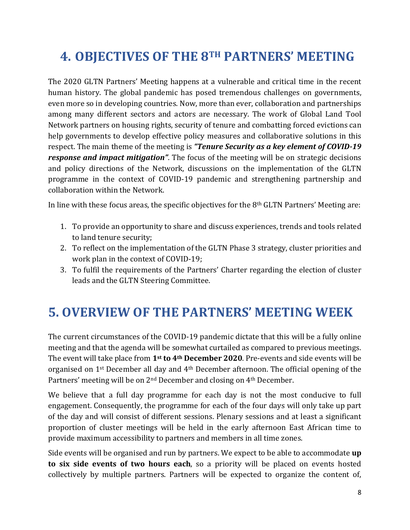## **4. OBJECTIVES OF THE 8TH PARTNERS' MEETING**

The 2020 GLTN Partners' Meeting happens at a vulnerable and critical time in the recent human history. The global pandemic has posed tremendous challenges on governments, even more so in developing countries. Now, more than ever, collaboration and partnerships among many different sectors and actors are necessary. The work of Global Land Tool Network partners on housing rights, security of tenure and combatting forced evictions can help governments to develop effective policy measures and collaborative solutions in this respect. The main theme of the meeting is *"Tenure Security as a key element of COVID-19 response and impact mitigation"*. The focus of the meeting will be on strategic decisions and policy directions of the Network, discussions on the implementation of the GLTN programme in the context of COVID-19 pandemic and strengthening partnership and collaboration within the Network.

In line with these focus areas, the specific objectives for the 8th GLTN Partners' Meeting are:

- 1. To provide an opportunity to share and discuss experiences, trends and tools related to land tenure security;
- 2. To reflect on the implementation of the GLTN Phase 3 strategy, cluster priorities and work plan in the context of COVID-19;
- 3. To fulfil the requirements of the Partners' Charter regarding the election of cluster leads and the GLTN Steering Committee.

### **5. OVERVIEW OF THE PARTNERS' MEETING WEEK**

The current circumstances of the COVID-19 pandemic dictate that this will be a fully online meeting and that the agenda will be somewhat curtailed as compared to previous meetings. The event will take place from **1st to 4th December 2020**. Pre-events and side events will be organised on 1st December all day and 4th December afternoon. The official opening of the Partners' meeting will be on 2nd December and closing on 4th December.

We believe that a full day programme for each day is not the most conducive to full engagement. Consequently, the programme for each of the four days will only take up part of the day and will consist of different sessions. Plenary sessions and at least a significant proportion of cluster meetings will be held in the early afternoon East African time to provide maximum accessibility to partners and members in all time zones.

Side events will be organised and run by partners. We expect to be able to accommodate **up to six side events of two hours each**, so a priority will be placed on events hosted collectively by multiple partners. Partners will be expected to organize the content of,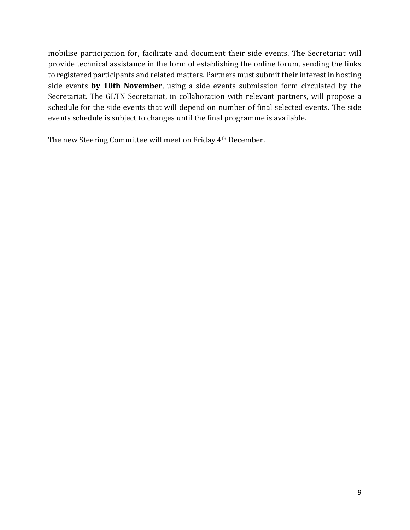mobilise participation for, facilitate and document their side events. The Secretariat will provide technical assistance in the form of establishing the online forum, sending the links to registered participants and related matters. Partners must submit their interest in hosting side events **by 10th November**, using a side events submission form circulated by the Secretariat. The GLTN Secretariat, in collaboration with relevant partners, will propose a schedule for the side events that will depend on number of final selected events. The side events schedule is subject to changes until the final programme is available.

The new Steering Committee will meet on Friday 4th December.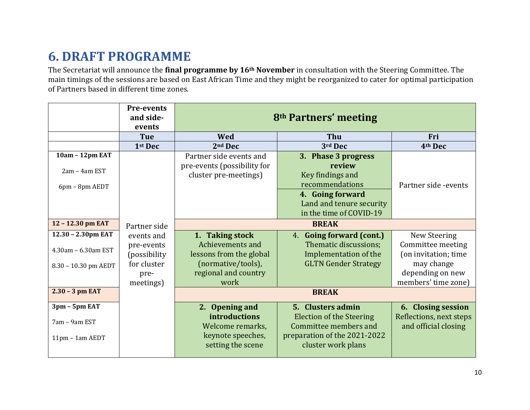# **6. DRAFT PROGRAMME**

The Secretariat will announce the **final programme by 16th November** in consultation with the Steering Committee. The main timings of the sessions are based on East African Time and they might be reorganized to cater for optimal participation of Partners based in different time zones.

|                      | <b>Pre-events</b><br>and side- | 8 <sup>th</sup> Partners' meeting      |                                                    |                         |
|----------------------|--------------------------------|----------------------------------------|----------------------------------------------------|-------------------------|
|                      | events<br><b>Tue</b>           | Wed                                    | Thu                                                | Fri                     |
|                      | 1 <sup>st</sup> Dec            | 2 <sup>nd</sup> Dec                    | 3rd Dec                                            | 4th Dec                 |
| 10am - 12pm EAT      |                                | Partner side events and                | 3. Phase 3 progress                                |                         |
|                      |                                | pre-events (possibility for            | review                                             |                         |
| 2am - 4am EST        |                                | cluster pre-meetings)                  | Key findings and                                   |                         |
| 6pm - 8pm AEDT       |                                |                                        | recommendations                                    | Partner side -events    |
|                      |                                |                                        | 4. Going forward                                   |                         |
|                      |                                |                                        | Land and tenure security                           |                         |
|                      |                                |                                        | in the time of COVID-19                            |                         |
| 12 - 12.30 pm EAT    | Partner side                   |                                        |                                                    |                         |
| 12.30 - 2.30pm EAT   | events and                     | 1. Taking stock                        | 4. Going forward (cont.)                           | New Steering            |
|                      | pre-events                     | Achievements and                       | Thematic discussions;                              | Committee meeting       |
| 4.30am - 6.30am EST  | (possibility                   | lessons from the global                | Implementation of the                              | (on invitation; time    |
| 8.30 - 10.30 pm AEDT | for cluster                    | (normative/tools),                     | <b>GLTN Gender Strategy</b>                        | may change              |
|                      | pre-                           | regional and country                   |                                                    | depending on new        |
|                      | meetings)                      | work                                   |                                                    | members' time zone)     |
| $2.30 - 3$ pm EAT    |                                |                                        |                                                    |                         |
| 3pm - 5pm EAT        |                                | 2. Opening and                         | 5. Clusters admin                                  | 6. Closing session      |
|                      |                                | <b>introductions</b>                   | <b>Election of the Steering</b>                    | Reflections, next steps |
| 7am - 9am EST        |                                | Welcome remarks,                       | Committee members and                              | and official closing    |
| $11pm - 1am AEDT$    |                                | keynote speeches,<br>setting the scene | preparation of the 2021-2022<br>cluster work plans |                         |
|                      |                                |                                        |                                                    |                         |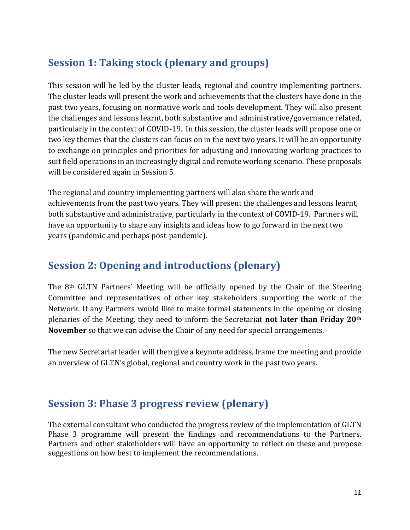#### **Session 1: Taking stock (plenary and groups)**

This session will be led by the cluster leads, regional and country implementing partners. The cluster leads will present the work and achievements that the clusters have done in the past two years, focusing on normative work and tools development. They will also present the challenges and lessons learnt, both substantive and administrative/governance related, particularly in the context of COVID-19. In this session, the cluster leads will propose one or two key themes that the clusters can focus on in the next two years. It will be an opportunity to exchange on principles and priorities for adjusting and innovating working practices to suit field operations in an increasingly digital and remote working scenario. These proposals will be considered again in Session 5.

The regional and country implementing partners will also share the work and achievements from the past two years. They will present the challenges and lessons learnt, both substantive and administrative, particularly in the context of COVID-19. Partners will have an opportunity to share any insights and ideas how to go forward in the next two years (pandemic and perhaps post-pandemic).

#### **Session 2: Opening and introductions (plenary)**

The 8th GLTN Partners' Meeting will be officially opened by the Chair of the Steering Committee and representatives of other key stakeholders supporting the work of the Network. If any Partners would like to make formal statements in the opening or closing plenaries of the Meeting, they need to inform the Secretariat **not later than Friday 20th November** so that we can advise the Chair of any need for special arrangements.

The new Secretariat leader will then give a keynote address, frame the meeting and provide an overview of GLTN's global, regional and country work in the past two years.

#### **Session 3: Phase 3 progress review (plenary)**

The external consultant who conducted the progress review of the implementation of GLTN Phase 3 programme will present the findings and recommendations to the Partners. Partners and other stakeholders will have an opportunity to reflect on these and propose suggestions on how best to implement the recommendations.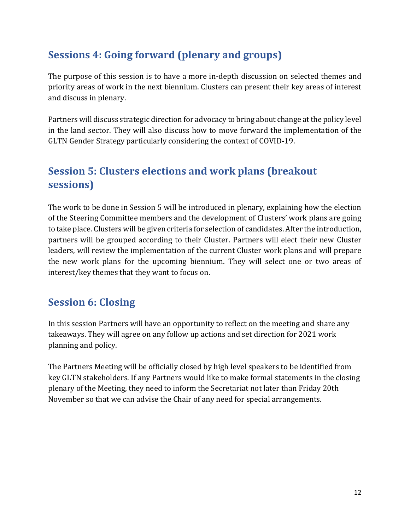#### **Sessions 4: Going forward (plenary and groups)**

The purpose of this session is to have a more in-depth discussion on selected themes and priority areas of work in the next biennium. Clusters can present their key areas of interest and discuss in plenary.

Partners will discuss strategic direction for advocacy to bring about change at the policy level in the land sector. They will also discuss how to move forward the implementation of the GLTN Gender Strategy particularly considering the context of COVID-19.

#### **Session 5: Clusters elections and work plans (breakout sessions)**

The work to be done in Session 5 will be introduced in plenary, explaining how the election of the Steering Committee members and the development of Clusters' work plans are going to take place. Clusters will be given criteria for selection of candidates. After the introduction, partners will be grouped according to their Cluster. Partners will elect their new Cluster leaders, will review the implementation of the current Cluster work plans and will prepare the new work plans for the upcoming biennium. They will select one or two areas of interest/key themes that they want to focus on.

#### **Session 6: Closing**

In this session Partners will have an opportunity to reflect on the meeting and share any takeaways. They will agree on any follow up actions and set direction for 2021 work planning and policy.

The Partners Meeting will be officially closed by high level speakers to be identified from key GLTN stakeholders. If any Partners would like to make formal statements in the closing plenary of the Meeting, they need to inform the Secretariat not later than Friday 20th November so that we can advise the Chair of any need for special arrangements.